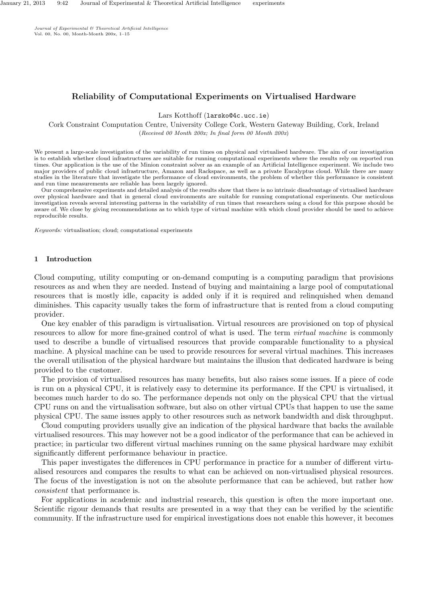*Journal of Experimental & Theoretical Artificial Intelligence* Vol. 00, No. 00, Month-Month 200x, 1–15

# **Reliability of Computational Experiments on Virtualised Hardware**

Lars Kotthoff (larsko@4c.ucc.ie)

Cork Constraint Computation Centre, University College Cork, Western Gateway Building, Cork, Ireland (*Received 00 Month 200x; In final form 00 Month 200x*)

We present a large-scale investigation of the variability of run times on physical and virtualised hardware. The aim of our investigation is to establish whether cloud infrastructures are suitable for running computational experiments where the results rely on reported run times. Our application is the use of the Minion constraint solver as an example of an Artificial Intelligence experiment. We include two major providers of public cloud infrastructure, Amazon and Rackspace, as well as a private Eucalyptus cloud. While there are many studies in the literature that investigate the performance of cloud environments, the problem of whether this performance is consistent and run time measurements are reliable has been largely ignored.

Our comprehensive experiments and detailed analysis of the results show that there is no intrinsic disadvantage of virtualised hardware over physical hardware and that in general cloud environments are suitable for running computational experiments. Our meticulous investigation reveals several interesting patterns in the variability of run times that researchers using a cloud for this purpose should be aware of. We close by giving recommendations as to which type of virtual machine with which cloud provider should be used to achieve reproducible results.

*Keywords:* virtualisation; cloud; computational experiments

#### **1 Introduction**

Cloud computing, utility computing or on-demand computing is a computing paradigm that provisions resources as and when they are needed. Instead of buying and maintaining a large pool of computational resources that is mostly idle, capacity is added only if it is required and relinquished when demand diminishes. This capacity usually takes the form of infrastructure that is rented from a cloud computing provider.

One key enabler of this paradigm is virtualisation. Virtual resources are provisioned on top of physical resources to allow for more fine-grained control of what is used. The term *virtual machine* is commonly used to describe a bundle of virtualised resources that provide comparable functionality to a physical machine. A physical machine can be used to provide resources for several virtual machines. This increases the overall utilisation of the physical hardware but maintains the illusion that dedicated hardware is being provided to the customer.

The provision of virtualised resources has many benefits, but also raises some issues. If a piece of code is run on a physical CPU, it is relatively easy to determine its performance. If the CPU is virtualised, it becomes much harder to do so. The performance depends not only on the physical CPU that the virtual CPU runs on and the virtualisation software, but also on other virtual CPUs that happen to use the same physical CPU. The same issues apply to other resources such as network bandwidth and disk throughput.

Cloud computing providers usually give an indication of the physical hardware that backs the available virtualised resources. This may however not be a good indicator of the performance that can be achieved in practice; in particular two different virtual machines running on the same physical hardware may exhibit significantly different performance behaviour in practice.

This paper investigates the differences in CPU performance in practice for a number of different virtualised resources and compares the results to what can be achieved on non-virtualised physical resources. The focus of the investigation is not on the absolute performance that can be achieved, but rather how *consistent* that performance is.

For applications in academic and industrial research, this question is often the more important one. Scientific rigour demands that results are presented in a way that they can be verified by the scientific community. If the infrastructure used for empirical investigations does not enable this however, it becomes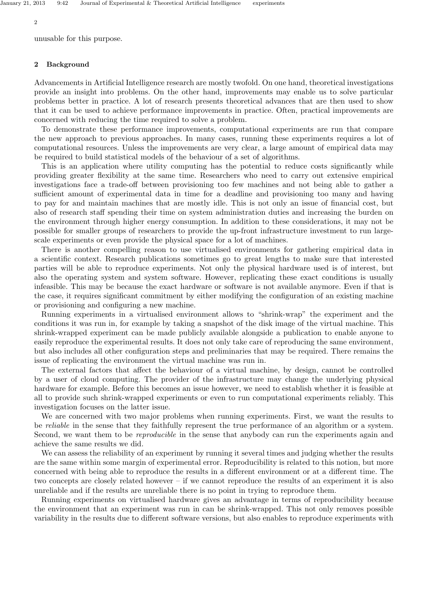unusable for this purpose.

#### **2 Background**

Advancements in Artificial Intelligence research are mostly twofold. On one hand, theoretical investigations provide an insight into problems. On the other hand, improvements may enable us to solve particular problems better in practice. A lot of research presents theoretical advances that are then used to show that it can be used to achieve performance improvements in practice. Often, practical improvements are concerned with reducing the time required to solve a problem.

To demonstrate these performance improvements, computational experiments are run that compare the new approach to previous approaches. In many cases, running these experiments requires a lot of computational resources. Unless the improvements are very clear, a large amount of empirical data may be required to build statistical models of the behaviour of a set of algorithms.

This is an application where utility computing has the potential to reduce costs significantly while providing greater flexibility at the same time. Researchers who need to carry out extensive empirical investigations face a trade-off between provisioning too few machines and not being able to gather a sufficient amount of experimental data in time for a deadline and provisioning too many and having to pay for and maintain machines that are mostly idle. This is not only an issue of financial cost, but also of research staff spending their time on system administration duties and increasing the burden on the environment through higher energy consumption. In addition to these considerations, it may not be possible for smaller groups of researchers to provide the up-front infrastructure investment to run largescale experiments or even provide the physical space for a lot of machines.

There is another compelling reason to use virtualised environments for gathering empirical data in a scientific context. Research publications sometimes go to great lengths to make sure that interested parties will be able to reproduce experiments. Not only the physical hardware used is of interest, but also the operating system and system software. However, replicating these exact conditions is usually infeasible. This may be because the exact hardware or software is not available anymore. Even if that is the case, it requires significant commitment by either modifying the configuration of an existing machine or provisioning and configuring a new machine.

Running experiments in a virtualised environment allows to "shrink-wrap" the experiment and the conditions it was run in, for example by taking a snapshot of the disk image of the virtual machine. This shrink-wrapped experiment can be made publicly available alongside a publication to enable anyone to easily reproduce the experimental results. It does not only take care of reproducing the same environment, but also includes all other configuration steps and preliminaries that may be required. There remains the issue of replicating the environment the virtual machine was run in.

The external factors that affect the behaviour of a virtual machine, by design, cannot be controlled by a user of cloud computing. The provider of the infrastructure may change the underlying physical hardware for example. Before this becomes an issue however, we need to establish whether it is feasible at all to provide such shrink-wrapped experiments or even to run computational experiments reliably. This investigation focuses on the latter issue.

We are concerned with two major problems when running experiments. First, we want the results to be *reliable* in the sense that they faithfully represent the true performance of an algorithm or a system. Second, we want them to be *reproducible* in the sense that anybody can run the experiments again and achieve the same results we did.

We can assess the reliability of an experiment by running it several times and judging whether the results are the same within some margin of experimental error. Reproducibility is related to this notion, but more concerned with being able to reproduce the results in a different environment or at a different time. The two concepts are closely related however – if we cannot reproduce the results of an experiment it is also unreliable and if the results are unreliable there is no point in trying to reproduce them.

Running experiments on virtualised hardware gives an advantage in terms of reproducibility because the environment that an experiment was run in can be shrink-wrapped. This not only removes possible variability in the results due to different software versions, but also enables to reproduce experiments with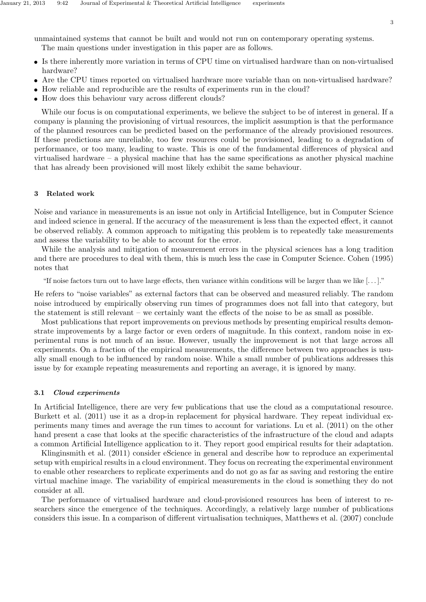unmaintained systems that cannot be built and would not run on contemporary operating systems. The main questions under investigation in this paper are as follows.

- Is there inherently more variation in terms of CPU time on virtualised hardware than on non-virtualised hardware?
- Are the CPU times reported on virtualised hardware more variable than on non-virtualised hardware?
- How reliable and reproducible are the results of experiments run in the cloud?
- How does this behaviour vary across different clouds?

While our focus is on computational experiments, we believe the subject to be of interest in general. If a company is planning the provisioning of virtual resources, the implicit assumption is that the performance of the planned resources can be predicted based on the performance of the already provisioned resources. If these predictions are unreliable, too few resources could be provisioned, leading to a degradation of performance, or too many, leading to waste. This is one of the fundamental differences of physical and virtualised hardware – a physical machine that has the same specifications as another physical machine that has already been provisioned will most likely exhibit the same behaviour.

#### **3 Related work**

Noise and variance in measurements is an issue not only in Artificial Intelligence, but in Computer Science and indeed science in general. If the accuracy of the measurement is less than the expected effect, it cannot be observed reliably. A common approach to mitigating this problem is to repeatedly take measurements and assess the variability to be able to account for the error.

While the analysis and mitigation of measurement errors in the physical sciences has a long tradition and there are procedures to deal with them, this is much less the case in Computer Science. Cohen (1995) notes that

"If noise factors turn out to have large effects, then variance within conditions will be larger than we like  $[\ldots]$ ."

He refers to "noise variables" as external factors that can be observed and measured reliably. The random noise introduced by empirically observing run times of programmes does not fall into that category, but the statement is still relevant – we certainly want the effects of the noise to be as small as possible.

Most publications that report improvements on previous methods by presenting empirical results demonstrate improvements by a large factor or even orders of magnitude. In this context, random noise in experimental runs is not much of an issue. However, usually the improvement is not that large across all experiments. On a fraction of the empirical measurements, the difference between two approaches is usually small enough to be influenced by random noise. While a small number of publications addresses this issue by for example repeating measurements and reporting an average, it is ignored by many.

#### **3.1** *Cloud experiments*

In Artificial Intelligence, there are very few publications that use the cloud as a computational resource. Burkett et al. (2011) use it as a drop-in replacement for physical hardware. They repeat individual experiments many times and average the run times to account for variations. Lu et al. (2011) on the other hand present a case that looks at the specific characteristics of the infrastructure of the cloud and adapts a common Artificial Intelligence application to it. They report good empirical results for their adaptation.

Klinginsmith et al. (2011) consider eScience in general and describe how to reproduce an experimental setup with empirical results in a cloud environment. They focus on recreating the experimental environment to enable other researchers to replicate experiments and do not go as far as saving and restoring the entire virtual machine image. The variability of empirical measurements in the cloud is something they do not consider at all.

The performance of virtualised hardware and cloud-provisioned resources has been of interest to researchers since the emergence of the techniques. Accordingly, a relatively large number of publications considers this issue. In a comparison of different virtualisation techniques, Matthews et al. (2007) conclude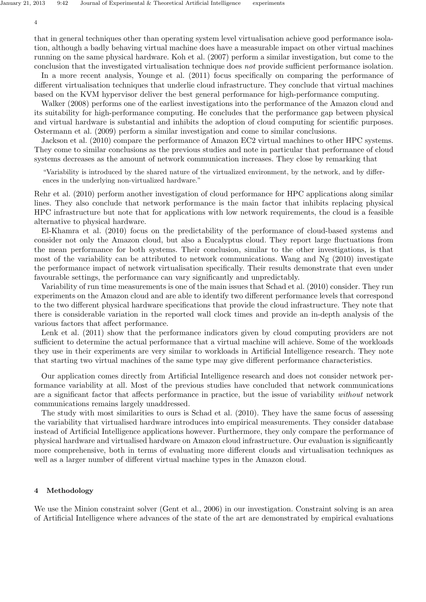that in general techniques other than operating system level virtualisation achieve good performance isolation, although a badly behaving virtual machine does have a measurable impact on other virtual machines running on the same physical hardware. Koh et al. (2007) perform a similar investigation, but come to the conclusion that the investigated virtualisation technique does *not* provide sufficient performance isolation.

In a more recent analysis, Younge et al. (2011) focus specifically on comparing the performance of different virtualisation techniques that underlie cloud infrastructure. They conclude that virtual machines based on the KVM hypervisor deliver the best general performance for high-performance computing.

Walker (2008) performs one of the earliest investigations into the performance of the Amazon cloud and its suitability for high-performance computing. He concludes that the performance gap between physical and virtual hardware is substantial and inhibits the adoption of cloud computing for scientific purposes. Ostermann et al. (2009) perform a similar investigation and come to similar conclusions.

Jackson et al. (2010) compare the performance of Amazon EC2 virtual machines to other HPC systems. They come to similar conclusions as the previous studies and note in particular that performance of cloud systems decreases as the amount of network communication increases. They close by remarking that

"Variability is introduced by the shared nature of the virtualized environment, by the network, and by differences in the underlying non-virtualized hardware."

Rehr et al. (2010) perform another investigation of cloud performance for HPC applications along similar lines. They also conclude that network performance is the main factor that inhibits replacing physical HPC infrastructure but note that for applications with low network requirements, the cloud is a feasible alternative to physical hardware.

El-Khamra et al. (2010) focus on the predictability of the performance of cloud-based systems and consider not only the Amazon cloud, but also a Eucalyptus cloud. They report large fluctuations from the mean performance for both systems. Their conclusion, similar to the other investigations, is that most of the variability can be attributed to network communications. Wang and Ng (2010) investigate the performance impact of network virtualisation specifically. Their results demonstrate that even under favourable settings, the performance can vary significantly and unpredictably.

Variability of run time measurements is one of the main issues that Schad et al. (2010) consider. They run experiments on the Amazon cloud and are able to identify two different performance levels that correspond to the two different physical hardware specifications that provide the cloud infrastructure. They note that there is considerable variation in the reported wall clock times and provide an in-depth analysis of the various factors that affect performance.

Lenk et al. (2011) show that the performance indicators given by cloud computing providers are not sufficient to determine the actual performance that a virtual machine will achieve. Some of the workloads they use in their experiments are very similar to workloads in Artificial Intelligence research. They note that starting two virtual machines of the same type may give different performance characteristics.

Our application comes directly from Artificial Intelligence research and does not consider network performance variability at all. Most of the previous studies have concluded that network communications are a significant factor that affects performance in practice, but the issue of variability *without* network communications remains largely unaddressed.

The study with most similarities to ours is Schad et al. (2010). They have the same focus of assessing the variability that virtualised hardware introduces into empirical measurements. They consider database instead of Artificial Intelligence applications however. Furthermore, they only compare the performance of physical hardware and virtualised hardware on Amazon cloud infrastructure. Our evaluation is significantly more comprehensive, both in terms of evaluating more different clouds and virtualisation techniques as well as a larger number of different virtual machine types in the Amazon cloud.

# **4 Methodology**

We use the Minion constraint solver (Gent et al., 2006) in our investigation. Constraint solving is an area of Artificial Intelligence where advances of the state of the art are demonstrated by empirical evaluations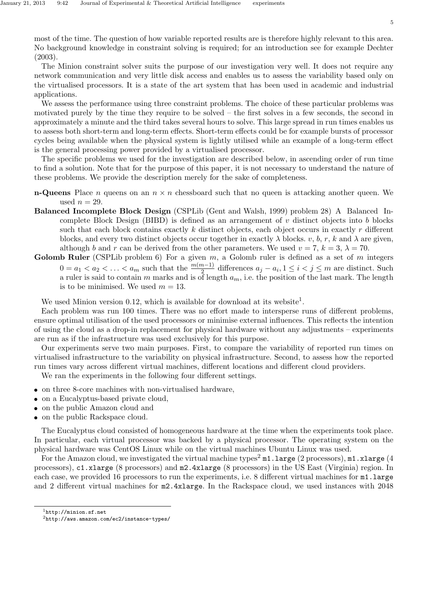most of the time. The question of how variable reported results are is therefore highly relevant to this area. No background knowledge in constraint solving is required; for an introduction see for example Dechter (2003).

The Minion constraint solver suits the purpose of our investigation very well. It does not require any network communication and very little disk access and enables us to assess the variability based only on the virtualised processors. It is a state of the art system that has been used in academic and industrial applications.

We assess the performance using three constraint problems. The choice of these particular problems was motivated purely by the time they require to be solved – the first solves in a few seconds, the second in approximately a minute and the third takes several hours to solve. This large spread in run times enables us to assess both short-term and long-term effects. Short-term effects could be for example bursts of processor cycles being available when the physical system is lightly utilised while an example of a long-term effect is the general processing power provided by a virtualised processor.

The specific problems we used for the investigation are described below, in ascending order of run time to find a solution. Note that for the purpose of this paper, it is not necessary to understand the nature of these problems. We provide the description merely for the sake of completeness.

- **n-Queens** Place *n* queens on an  $n \times n$  chessboard such that no queen is attacking another queen. We used  $n = 29$ .
- **Balanced Incomplete Block Design** (CSPLib (Gent and Walsh, 1999) problem 28) A Balanced Incomplete Block Design (BIBD) is defined as an arrangement of *v* distinct objects into *b* blocks such that each block contains exactly *k* distinct objects, each object occurs in exactly *r* different blocks, and every two distinct objects occur together in exactly  $\lambda$  blocks. *v*, *b*, *r*, *k* and  $\lambda$  are given, although *b* and *r* can be derived from the other parameters. We used  $v = 7$ ,  $k = 3$ ,  $\lambda = 70$ .
- **Golomb Ruler** (CSPLib problem 6) For a given *m*, a Golomb ruler is defined as a set of *m* integers 0 =  $a_1 < a_2 < \ldots < a_m$  such that the  $\frac{m(m-1)}{2}$  differences  $a_j - a_i, 1 \le i < j \le m$  are distinct. Such a ruler is said to contain *m* marks and is of length  $a_m$ , i.e. the position of the last mark. The length is to be minimised. We used  $m = 13$ .

We used Minion version 0.12, which is available for download at its website<sup>1</sup>.

Each problem was run 100 times. There was no effort made to intersperse runs of different problems, ensure optimal utilisation of the used processors or minimise external influences. This reflects the intention of using the cloud as a drop-in replacement for physical hardware without any adjustments – experiments are run as if the infrastructure was used exclusively for this purpose.

Our experiments serve two main purposes. First, to compare the variability of reported run times on virtualised infrastructure to the variability on physical infrastructure. Second, to assess how the reported run times vary across different virtual machines, different locations and different cloud providers.

We ran the experiments in the following four different settings.

- on three 8-core machines with non-virtualised hardware,
- on a Eucalyptus-based private cloud,
- *•* on the public Amazon cloud and
- on the public Rackspace cloud.

The Eucalyptus cloud consisted of homogeneous hardware at the time when the experiments took place. In particular, each virtual processor was backed by a physical processor. The operating system on the physical hardware was CentOS Linux while on the virtual machines Ubuntu Linux was used.

For the Amazon cloud, we investigated the virtual machine types<sup>2</sup>  $m1$ . large (2 processors),  $m1$ . xlarge (4 processors), c1.xlarge (8 processors) and m2.4xlarge (8 processors) in the US East (Virginia) region. In each case, we provided 16 processors to run the experiments, i.e. 8 different virtual machines for m1.large and 2 different virtual machines for m2.4xlarge. In the Rackspace cloud, we used instances with 2048

<sup>1</sup>http://minion.sf.net

<sup>2</sup>http://aws.amazon.com/ec2/instance-types/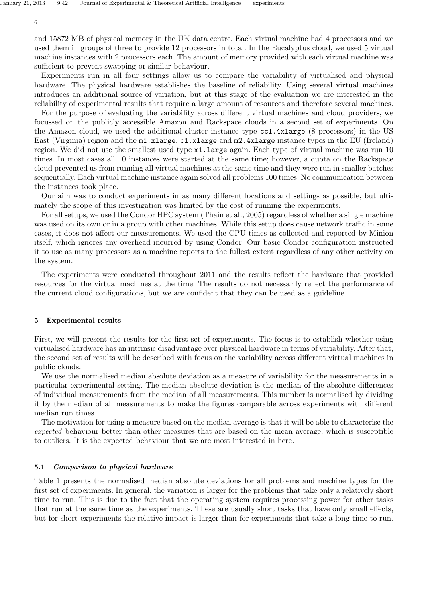and 15872 MB of physical memory in the UK data centre. Each virtual machine had 4 processors and we used them in groups of three to provide 12 processors in total. In the Eucalyptus cloud, we used 5 virtual machine instances with 2 processors each. The amount of memory provided with each virtual machine was sufficient to prevent swapping or similar behaviour.

Experiments run in all four settings allow us to compare the variability of virtualised and physical hardware. The physical hardware establishes the baseline of reliability. Using several virtual machines introduces an additional source of variation, but at this stage of the evaluation we are interested in the reliability of experimental results that require a large amount of resources and therefore several machines.

For the purpose of evaluating the variability across different virtual machines and cloud providers, we focussed on the publicly accessible Amazon and Rackspace clouds in a second set of experiments. On the Amazon cloud, we used the additional cluster instance type cc1.4xlarge (8 processors) in the US East (Virginia) region and the m1.xlarge, c1.xlarge and m2.4xlarge instance types in the EU (Ireland) region. We did not use the smallest used type m1.large again. Each type of virtual machine was run 10 times. In most cases all 10 instances were started at the same time; however, a quota on the Rackspace cloud prevented us from running all virtual machines at the same time and they were run in smaller batches sequentially. Each virtual machine instance again solved all problems 100 times. No communication between the instances took place.

Our aim was to conduct experiments in as many different locations and settings as possible, but ultimately the scope of this investigation was limited by the cost of running the experiments.

For all setups, we used the Condor HPC system (Thain et al., 2005) regardless of whether a single machine was used on its own or in a group with other machines. While this setup does cause network traffic in some cases, it does not affect our measurements. We used the CPU times as collected and reported by Minion itself, which ignores any overhead incurred by using Condor. Our basic Condor configuration instructed it to use as many processors as a machine reports to the fullest extent regardless of any other activity on the system.

The experiments were conducted throughout 2011 and the results reflect the hardware that provided resources for the virtual machines at the time. The results do not necessarily reflect the performance of the current cloud configurations, but we are confident that they can be used as a guideline.

# **5 Experimental results**

First, we will present the results for the first set of experiments. The focus is to establish whether using virtualised hardware has an intrinsic disadvantage over physical hardware in terms of variability. After that, the second set of results will be described with focus on the variability across different virtual machines in public clouds.

We use the normalised median absolute deviation as a measure of variability for the measurements in a particular experimental setting. The median absolute deviation is the median of the absolute differences of individual measurements from the median of all measurements. This number is normalised by dividing it by the median of all measurements to make the figures comparable across experiments with different median run times.

The motivation for using a measure based on the median average is that it will be able to characterise the *expected* behaviour better than other measures that are based on the mean average, which is susceptible to outliers. It is the expected behaviour that we are most interested in here.

# **5.1** *Comparison to physical hardware*

Table 1 presents the normalised median absolute deviations for all problems and machine types for the first set of experiments. In general, the variation is larger for the problems that take only a relatively short time to run. This is due to the fact that the operating system requires processing power for other tasks that run at the same time as the experiments. These are usually short tasks that have only small effects, but for short experiments the relative impact is larger than for experiments that take a long time to run.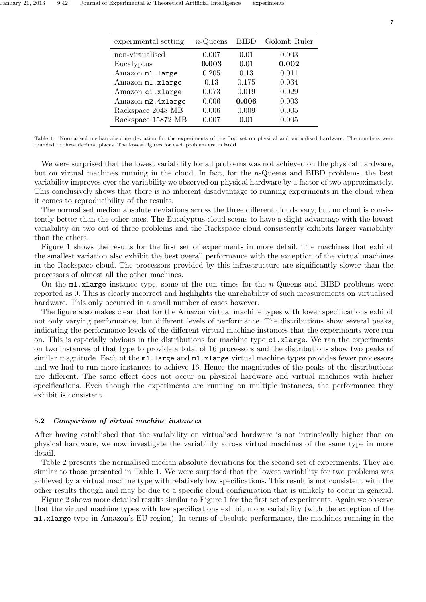| experimental setting | $n$ -Queens | <b>BIBD</b> | Golomb Ruler |
|----------------------|-------------|-------------|--------------|
| non-virtualised      | 0.007       | 0.01        | 0.003        |
| Eucalyptus           | 0.003       | 0.01        | 0.002        |
| Amazon m1. large     | 0.205       | 0.13        | 0.011        |
| Amazon m1.xlarge     | 0.13        | 0.175       | 0.034        |
| Amazon c1.xlarge     | 0.073       | 0.019       | 0.029        |
| Amazon m2.4xlarge    | 0.006       | 0.006       | 0.003        |
| Rackspace 2048 MB    | 0.006       | 0.009       | 0.005        |
| Rackspace 15872 MB   | 0.007       | 0.01        | 0.005        |

Table 1. Normalised median absolute deviation for the experiments of the first set on physical and virtualised hardware. The numbers were rounded to three decimal places. The lowest figures for each problem are in **bold**.

We were surprised that the lowest variability for all problems was not achieved on the physical hardware, but on virtual machines running in the cloud. In fact, for the *n*-Queens and BIBD problems, the best variability improves over the variability we observed on physical hardware by a factor of two approximately. This conclusively shows that there is no inherent disadvantage to running experiments in the cloud when it comes to reproducibility of the results.

The normalised median absolute deviations across the three different clouds vary, but no cloud is consistently better than the other ones. The Eucalyptus cloud seems to have a slight advantage with the lowest variability on two out of three problems and the Rackspace cloud consistently exhibits larger variability than the others.

Figure 1 shows the results for the first set of experiments in more detail. The machines that exhibit the smallest variation also exhibit the best overall performance with the exception of the virtual machines in the Rackspace cloud. The processors provided by this infrastructure are significantly slower than the processors of almost all the other machines.

On the m1.xlarge instance type, some of the run times for the *n*-Queens and BIBD problems were reported as 0. This is clearly incorrect and highlights the unreliability of such measurements on virtualised hardware. This only occurred in a small number of cases however.

The figure also makes clear that for the Amazon virtual machine types with lower specifications exhibit not only varying performance, but different levels of performance. The distributions show several peaks, indicating the performance levels of the different virtual machine instances that the experiments were run on. This is especially obvious in the distributions for machine type c1.xlarge. We ran the experiments on two instances of that type to provide a total of 16 processors and the distributions show two peaks of similar magnitude. Each of the  $m1.\text{large}$  and  $m1.\text{xlarge}$  virtual machine types provides fewer processors and we had to run more instances to achieve 16. Hence the magnitudes of the peaks of the distributions are different. The same effect does not occur on physical hardware and virtual machines with higher specifications. Even though the experiments are running on multiple instances, the performance they exhibit is consistent.

# **5.2** *Comparison of virtual machine instances*

After having established that the variability on virtualised hardware is not intrinsically higher than on physical hardware, we now investigate the variability across virtual machines of the same type in more detail.

Table 2 presents the normalised median absolute deviations for the second set of experiments. They are similar to those presented in Table 1. We were surprised that the lowest variability for two problems was achieved by a virtual machine type with relatively low specifications. This result is not consistent with the other results though and may be due to a specific cloud configuration that is unlikely to occur in general.

Figure 2 shows more detailed results similar to Figure 1 for the first set of experiments. Again we observe that the virtual machine types with low specifications exhibit more variability (with the exception of the m1.xlarge type in Amazon's EU region). In terms of absolute performance, the machines running in the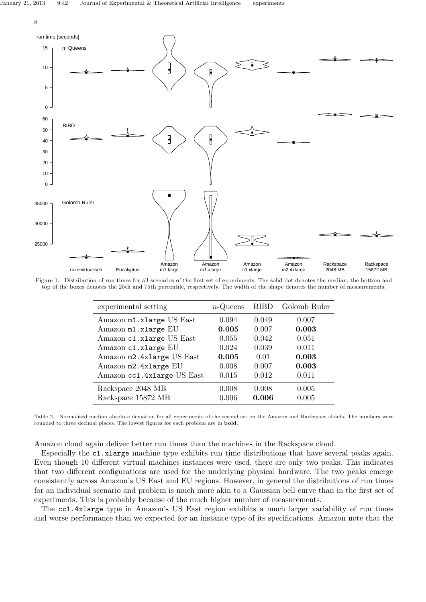



Figure 1. Distribution of run times for all scenarios of the first set of experiments. The solid dot denotes the median, the bottom and top of the boxes denotes the 25th and 75th percentile, respectively. The width of the shape denotes the number of measurements.

| experimental setting       | $n$ -Queens | <b>BIBD</b> | Golomb Ruler |
|----------------------------|-------------|-------------|--------------|
| Amazon m1.xlarge US East   | 0.094       | 0.049       | 0.007        |
| Amazon m1.xlarge EU        | 0.005       | 0.007       | 0.003        |
| Amazon c1.xlarge US East   | 0.055       | 0.042       | 0.051        |
| Amazon c1.xlarge EU        | 0.024       | 0.039       | 0.011        |
| Amazon m2.4xlarge US East  | 0.005       | 0.01        | 0.003        |
| Amazon m2.4xlarge EU       | 0.008       | 0.007       | 0.003        |
| Amazon cc1.4xlarge US East | 0.015       | 0.012       | 0.011        |
| Rackspace 2048 MB          | 0.008       | 0.008       | 0.005        |
| Rackspace 15872 MB         | 0.006       | 0.006       | 0.005        |

Table 2. Normalised median absolute deviation for all experiments of the second set on the Amazon and Rackspace clouds. The numbers were rounded to three decimal places. The lowest figures for each problem are in **bold**.

Amazon cloud again deliver better run times than the machines in the Rackspace cloud.

Especially the c1.xlarge machine type exhibits run time distributions that have several peaks again. Even though 10 different virtual machines instances were used, there are only two peaks. This indicates that two different configurations are used for the underlying physical hardware. The two peaks emerge consistently across Amazon's US East and EU regions. However, in general the distributions of run times for an individual scenario and problem is much more akin to a Gaussian bell curve than in the first set of experiments. This is probably because of the much higher number of measurements.

The cc1.4xlarge type in Amazon's US East region exhibits a much larger variability of run times and worse performance than we expected for an instance type of its specifications. Amazon note that the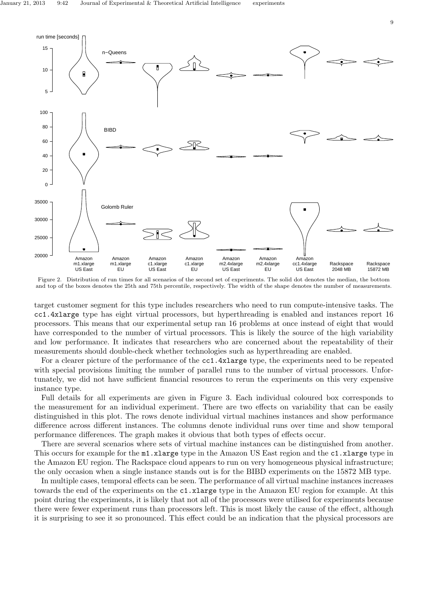

Figure 2. Distribution of run times for all scenarios of the second set of experiments. The solid dot denotes the median, the bottom and top of the boxes denotes the 25th and 75th percentile, respectively. The width of the shape denotes the number of measurements.

target customer segment for this type includes researchers who need to run compute-intensive tasks. The cc1.4xlarge type has eight virtual processors, but hyperthreading is enabled and instances report 16 processors. This means that our experimental setup ran 16 problems at once instead of eight that would have corresponded to the number of virtual processors. This is likely the source of the high variability and low performance. It indicates that researchers who are concerned about the repeatability of their measurements should double-check whether technologies such as hyperthreading are enabled.

For a clearer picture of the performance of the cc1.4xlarge type, the experiments need to be repeated with special provisions limiting the number of parallel runs to the number of virtual processors. Unfortunately, we did not have sufficient financial resources to rerun the experiments on this very expensive instance type.

Full details for all experiments are given in Figure 3. Each individual coloured box corresponds to the measurement for an individual experiment. There are two effects on variability that can be easily distinguished in this plot. The rows denote individual virtual machines instances and show performance difference across different instances. The columns denote individual runs over time and show temporal performance differences. The graph makes it obvious that both types of effects occur.

There are several scenarios where sets of virtual machine instances can be distinguished from another. This occurs for example for the  $m1$ .xlarge type in the Amazon US East region and the c1.xlarge type in the Amazon EU region. The Rackspace cloud appears to run on very homogeneous physical infrastructure; the only occasion when a single instance stands out is for the BIBD experiments on the 15872 MB type.

In multiple cases, temporal effects can be seen. The performance of all virtual machine instances increases towards the end of the experiments on the c1.xlarge type in the Amazon EU region for example. At this point during the experiments, it is likely that not all of the processors were utilised for experiments because there were fewer experiment runs than processors left. This is most likely the cause of the effect, although it is surprising to see it so pronounced. This effect could be an indication that the physical processors are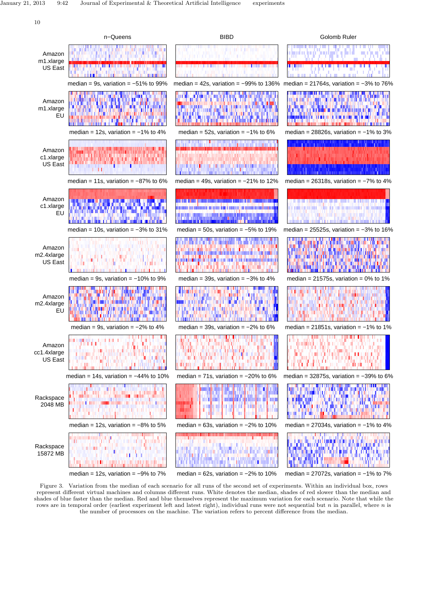

median = 12s, variation =  $-9\%$  to 7%

median = 62s, variation = −2% to 10% median = 27072s, variation = −1% to 7%

Figure 3. Variation from the median of each scenario for all runs of the second set of experiments. Within an individual box, rows represent different virtual machines and columns different runs. White denotes the median, shades of red slower than the median and shades of blue faster than the median. Red and blue themselves represent the maximum variation for each scenario. Note that while the rows are in temporal order (earliest experiment left and latest right), individual runs were not sequential but *n* in parallel, where *n* is the number of processors on the machine. The variation refers to percent difference from the median.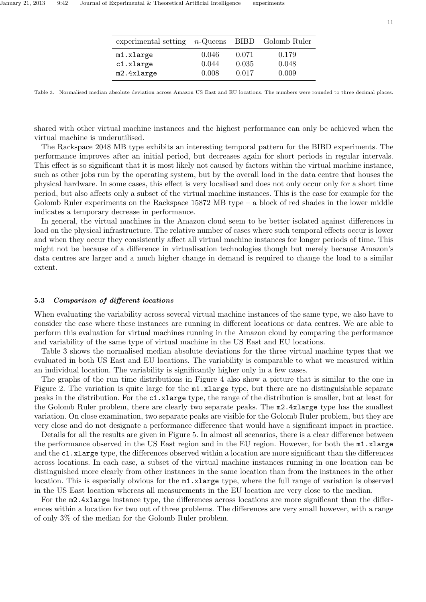| experimental setting $n$ -Queens BIBD Golomb Ruler |                |                |                |
|----------------------------------------------------|----------------|----------------|----------------|
| m1.xlarge                                          | 0.046<br>0.044 | 0.071<br>0.035 | 0.179<br>0.048 |
| c1.xlarge<br>m2.4xlarge                            | 0.008          | 0.017          | 0.009          |

Table 3. Normalised median absolute deviation across Amazon US East and EU locations. The numbers were rounded to three decimal places.

shared with other virtual machine instances and the highest performance can only be achieved when the virtual machine is underutilised.

The Rackspace 2048 MB type exhibits an interesting temporal pattern for the BIBD experiments. The performance improves after an initial period, but decreases again for short periods in regular intervals. This effect is so significant that it is most likely not caused by factors within the virtual machine instance, such as other jobs run by the operating system, but by the overall load in the data centre that houses the physical hardware. In some cases, this effect is very localised and does not only occur only for a short time period, but also affects only a subset of the virtual machine instances. This is the case for example for the Golomb Ruler experiments on the Rackspace 15872 MB type – a block of red shades in the lower middle indicates a temporary decrease in performance.

In general, the virtual machines in the Amazon cloud seem to be better isolated against differences in load on the physical infrastructure. The relative number of cases where such temporal effects occur is lower and when they occur they consistently affect all virtual machine instances for longer periods of time. This might not be because of a difference in virtualisation technologies though but merely because Amazon's data centres are larger and a much higher change in demand is required to change the load to a similar extent.

### **5.3** *Comparison of different locations*

When evaluating the variability across several virtual machine instances of the same type, we also have to consider the case where these instances are running in different locations or data centres. We are able to perform this evaluation for virtual machines running in the Amazon cloud by comparing the performance and variability of the same type of virtual machine in the US East and EU locations.

Table 3 shows the normalised median absolute deviations for the three virtual machine types that we evaluated in both US East and EU locations. The variability is comparable to what we measured within an individual location. The variability is significantly higher only in a few cases.

The graphs of the run time distributions in Figure 4 also show a picture that is similar to the one in Figure 2. The variation is quite large for the m1.xlarge type, but there are no distinguishable separate peaks in the distribution. For the c1.xlarge type, the range of the distribution is smaller, but at least for the Golomb Ruler problem, there are clearly two separate peaks. The m2.4xlarge type has the smallest variation. On close examination, two separate peaks are visible for the Golomb Ruler problem, but they are very close and do not designate a performance difference that would have a significant impact in practice.

Details for all the results are given in Figure 5. In almost all scenarios, there is a clear difference between the performance observed in the US East region and in the EU region. However, for both the m1.xlarge and the c1.xlarge type, the differences observed within a location are more significant than the differences across locations. In each case, a subset of the virtual machine instances running in one location can be distinguished more clearly from other instances in the same location than from the instances in the other location. This is especially obvious for the  $m1.x$  arge type, where the full range of variation is observed in the US East location whereas all measurements in the EU location are very close to the median.

For the m2.4xlarge instance type, the differences across locations are more significant than the differences within a location for two out of three problems. The differences are very small however, with a range of only 3% of the median for the Golomb Ruler problem.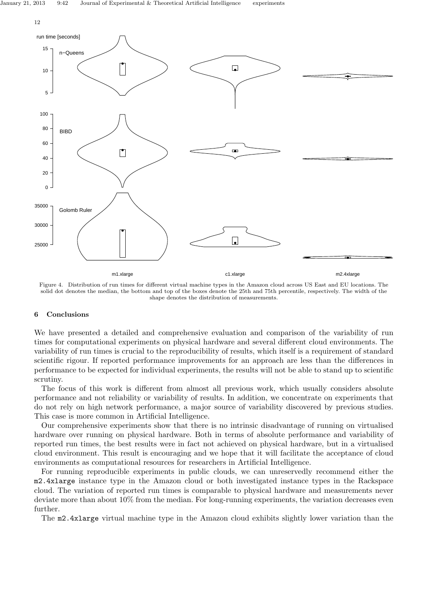



Figure 4. Distribution of run times for different virtual machine types in the Amazon cloud across US East and EU locations. The solid dot denotes the median, the bottom and top of the boxes denote the 25th and 75th percentile, respectively. The width of the shape denotes the distribution of measurements.

# **6 Conclusions**

We have presented a detailed and comprehensive evaluation and comparison of the variability of run times for computational experiments on physical hardware and several different cloud environments. The variability of run times is crucial to the reproducibility of results, which itself is a requirement of standard scientific rigour. If reported performance improvements for an approach are less than the differences in performance to be expected for individual experiments, the results will not be able to stand up to scientific scrutiny.

The focus of this work is different from almost all previous work, which usually considers absolute performance and not reliability or variability of results. In addition, we concentrate on experiments that do not rely on high network performance, a major source of variability discovered by previous studies. This case is more common in Artificial Intelligence.

Our comprehensive experiments show that there is no intrinsic disadvantage of running on virtualised hardware over running on physical hardware. Both in terms of absolute performance and variability of reported run times, the best results were in fact not achieved on physical hardware, but in a virtualised cloud environment. This result is encouraging and we hope that it will facilitate the acceptance of cloud environments as computational resources for researchers in Artificial Intelligence.

For running reproducible experiments in public clouds, we can unreservedly recommend either the m2.4xlarge instance type in the Amazon cloud or both investigated instance types in the Rackspace cloud. The variation of reported run times is comparable to physical hardware and measurements never deviate more than about 10% from the median. For long-running experiments, the variation decreases even further.

The m2.4xlarge virtual machine type in the Amazon cloud exhibits slightly lower variation than the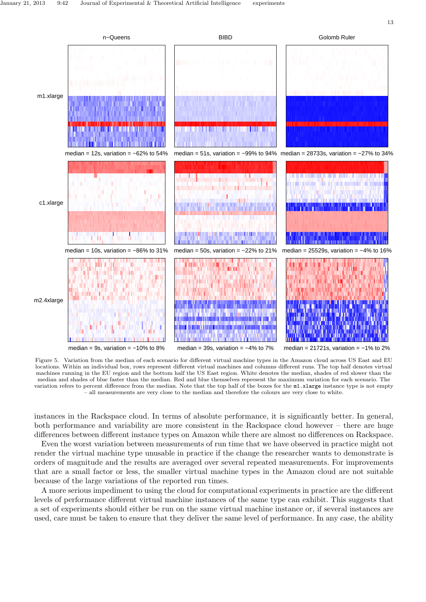

Figure 5. Variation from the median of each scenario for different virtual machine types in the Amazon cloud across US East and EU locations. Within an individual box, rows represent different virtual machines and columns different runs. The top half denotes virtual machines running in the EU region and the bottom half the US East region. White denotes the median, shades of red slower than the median and shades of blue faster than the median. Red and blue themselves represent the maximum variation for each scenario. The variation refers to percent difference from the median. Note that the top half of the boxes for the m1.xlarge instance type is not empty – all measurements are very close to the median and therefore the colours are very close to white.

instances in the Rackspace cloud. In terms of absolute performance, it is significantly better. In general, both performance and variability are more consistent in the Rackspace cloud however – there are huge differences between different instance types on Amazon while there are almost no differences on Rackspace.

Even the worst variation between measurements of run time that we have observed in practice might not render the virtual machine type unusable in practice if the change the researcher wants to demonstrate is orders of magnitude and the results are averaged over several repeated measurements. For improvements that are a small factor or less, the smaller virtual machine types in the Amazon cloud are not suitable because of the large variations of the reported run times.

A more serious impediment to using the cloud for computational experiments in practice are the different levels of performance different virtual machine instances of the same type can exhibit. This suggests that a set of experiments should either be run on the same virtual machine instance or, if several instances are used, care must be taken to ensure that they deliver the same level of performance. In any case, the ability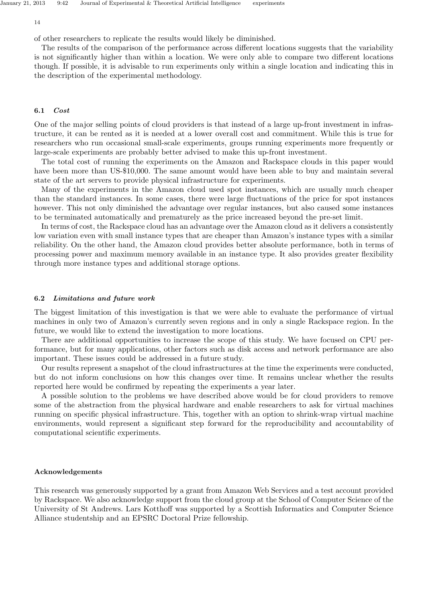of other researchers to replicate the results would likely be diminished.

The results of the comparison of the performance across different locations suggests that the variability is not significantly higher than within a location. We were only able to compare two different locations though. If possible, it is advisable to run experiments only within a single location and indicating this in the description of the experimental methodology.

## **6.1** *Cost*

One of the major selling points of cloud providers is that instead of a large up-front investment in infrastructure, it can be rented as it is needed at a lower overall cost and commitment. While this is true for researchers who run occasional small-scale experiments, groups running experiments more frequently or large-scale experiments are probably better advised to make this up-front investment.

The total cost of running the experiments on the Amazon and Rackspace clouds in this paper would have been more than US-\$10,000. The same amount would have been able to buy and maintain several state of the art servers to provide physical infrastructure for experiments.

Many of the experiments in the Amazon cloud used spot instances, which are usually much cheaper than the standard instances. In some cases, there were large fluctuations of the price for spot instances however. This not only diminished the advantage over regular instances, but also caused some instances to be terminated automatically and prematurely as the price increased beyond the pre-set limit.

In terms of cost, the Rackspace cloud has an advantage over the Amazon cloud as it delivers a consistently low variation even with small instance types that are cheaper than Amazon's instance types with a similar reliability. On the other hand, the Amazon cloud provides better absolute performance, both in terms of processing power and maximum memory available in an instance type. It also provides greater flexibility through more instance types and additional storage options.

#### **6.2** *Limitations and future work*

The biggest limitation of this investigation is that we were able to evaluate the performance of virtual machines in only two of Amazon's currently seven regions and in only a single Rackspace region. In the future, we would like to extend the investigation to more locations.

There are additional opportunities to increase the scope of this study. We have focused on CPU performance, but for many applications, other factors such as disk access and network performance are also important. These issues could be addressed in a future study.

Our results represent a snapshot of the cloud infrastructures at the time the experiments were conducted, but do not inform conclusions on how this changes over time. It remains unclear whether the results reported here would be confirmed by repeating the experiments a year later.

A possible solution to the problems we have described above would be for cloud providers to remove some of the abstraction from the physical hardware and enable researchers to ask for virtual machines running on specific physical infrastructure. This, together with an option to shrink-wrap virtual machine environments, would represent a significant step forward for the reproducibility and accountability of computational scientific experiments.

#### **Acknowledgements**

This research was generously supported by a grant from Amazon Web Services and a test account provided by Rackspace. We also acknowledge support from the cloud group at the School of Computer Science of the University of St Andrews. Lars Kotthoff was supported by a Scottish Informatics and Computer Science Alliance studentship and an EPSRC Doctoral Prize fellowship.